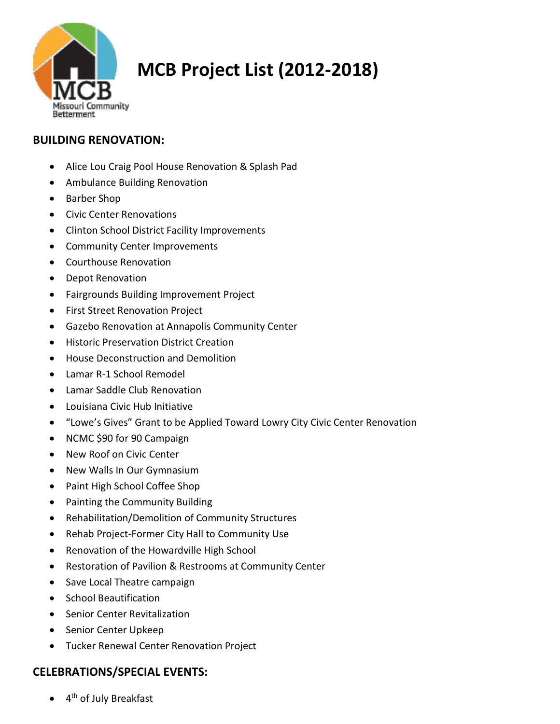

# **MCB Project List (2012-2018)**

## **BUILDING RENOVATION:**

- Alice Lou Craig Pool House Renovation & Splash Pad
- Ambulance Building Renovation
- Barber Shop
- Civic Center Renovations
- Clinton School District Facility Improvements
- Community Center Improvements
- Courthouse Renovation
- Depot Renovation
- Fairgrounds Building Improvement Project
- First Street Renovation Project
- Gazebo Renovation at Annapolis Community Center
- Historic Preservation District Creation
- House Deconstruction and Demolition
- Lamar R-1 School Remodel
- Lamar Saddle Club Renovation
- Louisiana Civic Hub Initiative
- "Lowe's Gives" Grant to be Applied Toward Lowry City Civic Center Renovation
- NCMC \$90 for 90 Campaign
- New Roof on Civic Center
- New Walls In Our Gymnasium
- Paint High School Coffee Shop
- Painting the Community Building
- Rehabilitation/Demolition of Community Structures
- Rehab Project-Former City Hall to Community Use
- Renovation of the Howardville High School
- Restoration of Pavilion & Restrooms at Community Center
- Save Local Theatre campaign
- School Beautification
- Senior Center Revitalization
- Senior Center Upkeep
- Tucker Renewal Center Renovation Project

## **CELEBRATIONS/SPECIAL EVENTS:**

• 4<sup>th</sup> of July Breakfast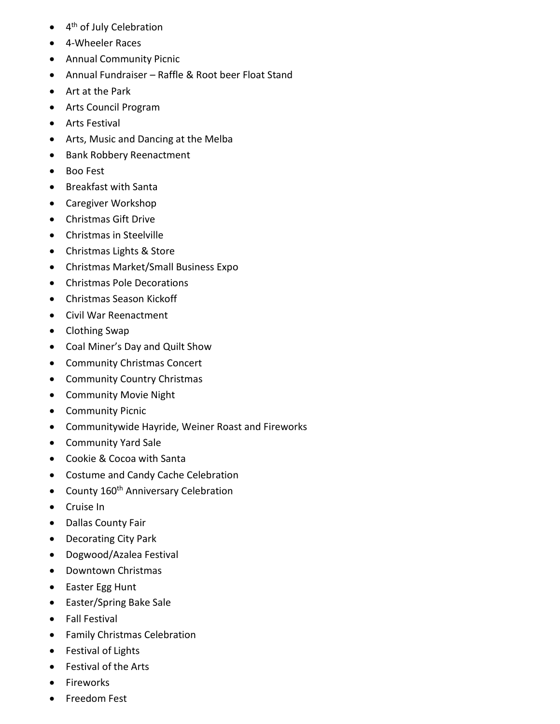- 4<sup>th</sup> of July Celebration
- 4-Wheeler Races
- Annual Community Picnic
- Annual Fundraiser Raffle & Root beer Float Stand
- Art at the Park
- Arts Council Program
- Arts Festival
- Arts, Music and Dancing at the Melba
- Bank Robbery Reenactment
- Boo Fest
- Breakfast with Santa
- Caregiver Workshop
- Christmas Gift Drive
- Christmas in Steelville
- Christmas Lights & Store
- Christmas Market/Small Business Expo
- Christmas Pole Decorations
- Christmas Season Kickoff
- Civil War Reenactment
- Clothing Swap
- Coal Miner's Day and Quilt Show
- Community Christmas Concert
- Community Country Christmas
- Community Movie Night
- Community Picnic
- Communitywide Hayride, Weiner Roast and Fireworks
- Community Yard Sale
- Cookie & Cocoa with Santa
- Costume and Candy Cache Celebration
- County 160<sup>th</sup> Anniversary Celebration
- Cruise In
- Dallas County Fair
- Decorating City Park
- Dogwood/Azalea Festival
- Downtown Christmas
- Easter Egg Hunt
- Easter/Spring Bake Sale
- Fall Festival
- Family Christmas Celebration
- Festival of Lights
- Festival of the Arts
- Fireworks
- Freedom Fest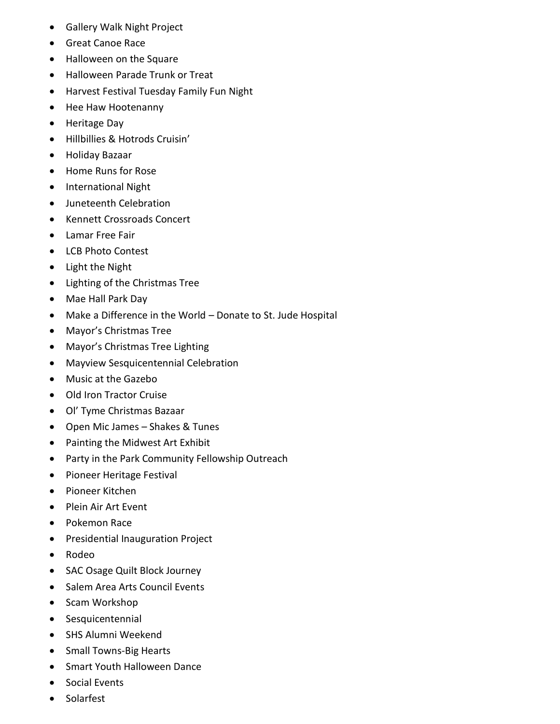- Gallery Walk Night Project
- Great Canoe Race
- Halloween on the Square
- Halloween Parade Trunk or Treat
- Harvest Festival Tuesday Family Fun Night
- Hee Haw Hootenanny
- Heritage Day
- Hillbillies & Hotrods Cruisin'
- Holiday Bazaar
- Home Runs for Rose
- International Night
- Juneteenth Celebration
- Kennett Crossroads Concert
- Lamar Free Fair
- LCB Photo Contest
- Light the Night
- Lighting of the Christmas Tree
- Mae Hall Park Day
- Make a Difference in the World Donate to St. Jude Hospital
- Mayor's Christmas Tree
- Mayor's Christmas Tree Lighting
- Mayview Sesquicentennial Celebration
- Music at the Gazebo
- Old Iron Tractor Cruise
- Ol' Tyme Christmas Bazaar
- Open Mic James Shakes & Tunes
- Painting the Midwest Art Exhibit
- Party in the Park Community Fellowship Outreach
- Pioneer Heritage Festival
- Pioneer Kitchen
- Plein Air Art Event
- Pokemon Race
- Presidential Inauguration Project
- Rodeo
- SAC Osage Quilt Block Journey
- Salem Area Arts Council Events
- Scam Workshop
- Sesquicentennial
- SHS Alumni Weekend
- Small Towns-Big Hearts
- Smart Youth Halloween Dance
- Social Events
- **Solarfest**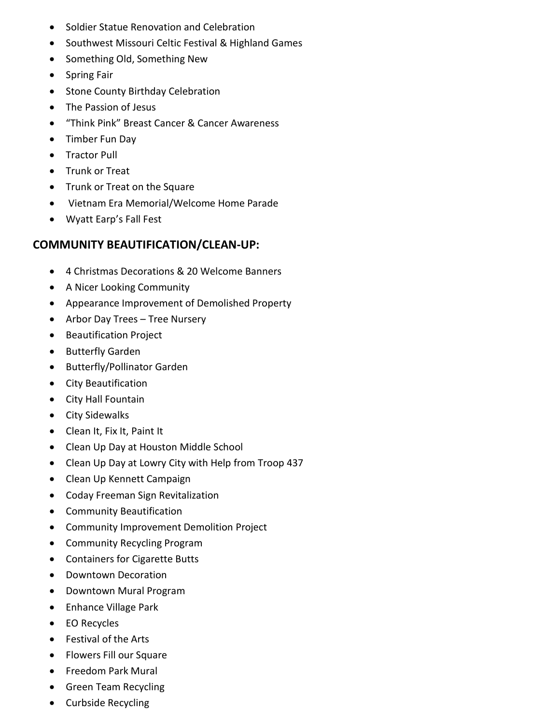- Soldier Statue Renovation and Celebration
- Southwest Missouri Celtic Festival & Highland Games
- Something Old, Something New
- Spring Fair
- Stone County Birthday Celebration
- The Passion of Jesus
- "Think Pink" Breast Cancer & Cancer Awareness
- Timber Fun Day
- Tractor Pull
- Trunk or Treat
- Trunk or Treat on the Square
- Vietnam Era Memorial/Welcome Home Parade
- Wyatt Earp's Fall Fest

### **COMMUNITY BEAUTIFICATION/CLEAN-UP:**

- 4 Christmas Decorations & 20 Welcome Banners
- A Nicer Looking Community
- Appearance Improvement of Demolished Property
- Arbor Day Trees Tree Nursery
- Beautification Project
- Butterfly Garden
- Butterfly/Pollinator Garden
- City Beautification
- City Hall Fountain
- City Sidewalks
- Clean It, Fix It, Paint It
- Clean Up Day at Houston Middle School
- Clean Up Day at Lowry City with Help from Troop 437
- Clean Up Kennett Campaign
- Coday Freeman Sign Revitalization
- Community Beautification
- Community Improvement Demolition Project
- Community Recycling Program
- Containers for Cigarette Butts
- Downtown Decoration
- Downtown Mural Program
- Enhance Village Park
- EO Recycles
- Festival of the Arts
- Flowers Fill our Square
- Freedom Park Mural
- Green Team Recycling
- Curbside Recycling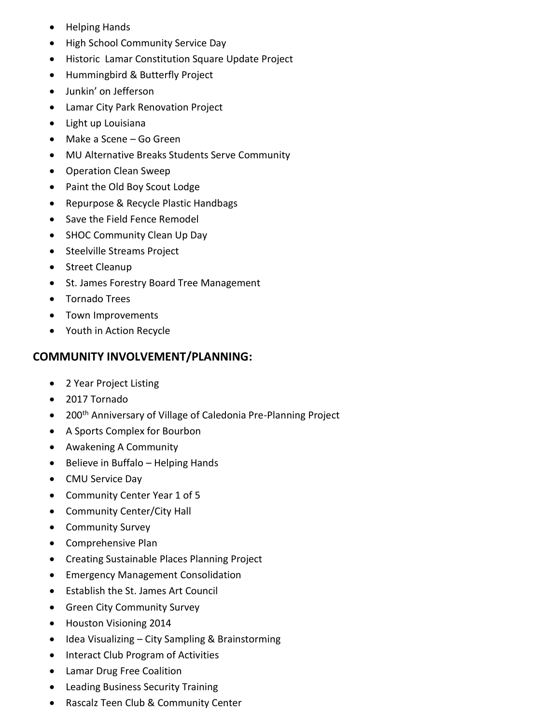- Helping Hands
- High School Community Service Day
- Historic Lamar Constitution Square Update Project
- Hummingbird & Butterfly Project
- Junkin' on Jefferson
- Lamar City Park Renovation Project
- Light up Louisiana
- Make a Scene Go Green
- MU Alternative Breaks Students Serve Community
- Operation Clean Sweep
- Paint the Old Boy Scout Lodge
- Repurpose & Recycle Plastic Handbags
- Save the Field Fence Remodel
- SHOC Community Clean Up Day
- Steelville Streams Project
- Street Cleanup
- St. James Forestry Board Tree Management
- Tornado Trees
- Town Improvements
- Youth in Action Recycle

#### **COMMUNITY INVOLVEMENT/PLANNING:**

- 2 Year Project Listing
- 2017 Tornado
- 200<sup>th</sup> Anniversary of Village of Caledonia Pre-Planning Project
- A Sports Complex for Bourbon
- Awakening A Community
- Believe in Buffalo Helping Hands
- CMU Service Day
- Community Center Year 1 of 5
- Community Center/City Hall
- Community Survey
- Comprehensive Plan
- Creating Sustainable Places Planning Project
- Emergency Management Consolidation
- Establish the St. James Art Council
- Green City Community Survey
- Houston Visioning 2014
- Idea Visualizing City Sampling & Brainstorming
- Interact Club Program of Activities
- Lamar Drug Free Coalition
- Leading Business Security Training
- Rascalz Teen Club & Community Center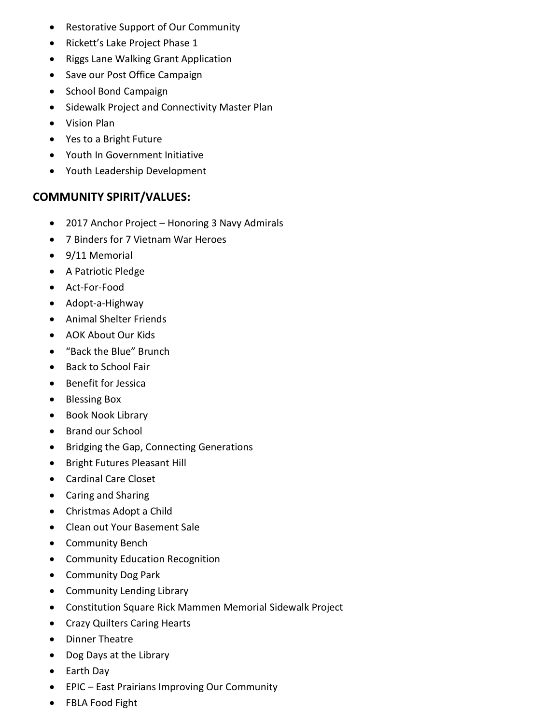- Restorative Support of Our Community
- Rickett's Lake Project Phase 1
- Riggs Lane Walking Grant Application
- Save our Post Office Campaign
- School Bond Campaign
- Sidewalk Project and Connectivity Master Plan
- Vision Plan
- Yes to a Bright Future
- Youth In Government Initiative
- Youth Leadership Development

#### **COMMUNITY SPIRIT/VALUES:**

- 2017 Anchor Project Honoring 3 Navy Admirals
- 7 Binders for 7 Vietnam War Heroes
- 9/11 Memorial
- A Patriotic Pledge
- Act-For-Food
- Adopt-a-Highway
- Animal Shelter Friends
- AOK About Our Kids
- "Back the Blue" Brunch
- Back to School Fair
- Benefit for Jessica
- Blessing Box
- Book Nook Library
- Brand our School
- Bridging the Gap, Connecting Generations
- Bright Futures Pleasant Hill
- Cardinal Care Closet
- Caring and Sharing
- Christmas Adopt a Child
- Clean out Your Basement Sale
- Community Bench
- Community Education Recognition
- Community Dog Park
- Community Lending Library
- Constitution Square Rick Mammen Memorial Sidewalk Project
- Crazy Quilters Caring Hearts
- Dinner Theatre
- Dog Days at the Library
- Earth Day
- EPIC East Prairians Improving Our Community
- FBLA Food Fight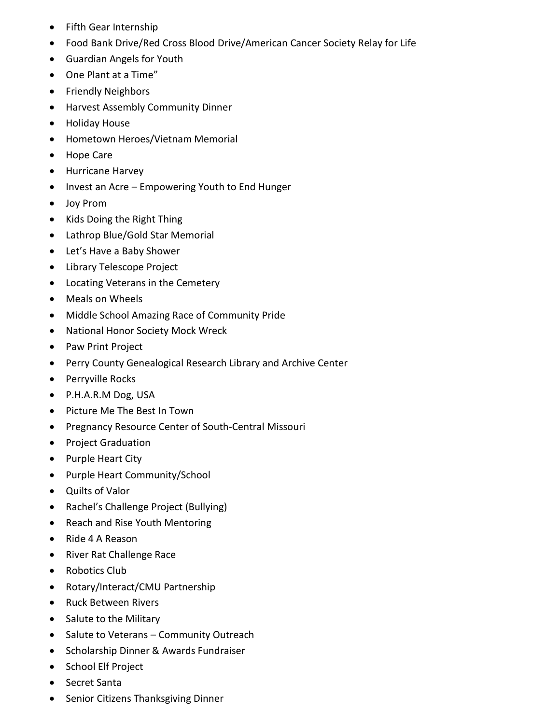- Fifth Gear Internship
- Food Bank Drive/Red Cross Blood Drive/American Cancer Society Relay for Life
- Guardian Angels for Youth
- One Plant at a Time"
- Friendly Neighbors
- Harvest Assembly Community Dinner
- Holiday House
- Hometown Heroes/Vietnam Memorial
- Hope Care
- Hurricane Harvey
- Invest an Acre Empowering Youth to End Hunger
- Joy Prom
- Kids Doing the Right Thing
- Lathrop Blue/Gold Star Memorial
- Let's Have a Baby Shower
- Library Telescope Project
- Locating Veterans in the Cemetery
- Meals on Wheels
- Middle School Amazing Race of Community Pride
- National Honor Society Mock Wreck
- Paw Print Project
- Perry County Genealogical Research Library and Archive Center
- Perryville Rocks
- P.H.A.R.M Dog, USA
- Picture Me The Best In Town
- Pregnancy Resource Center of South-Central Missouri
- Project Graduation
- Purple Heart City
- Purple Heart Community/School
- Quilts of Valor
- Rachel's Challenge Project (Bullying)
- Reach and Rise Youth Mentoring
- Ride 4 A Reason
- River Rat Challenge Race
- Robotics Club
- Rotary/Interact/CMU Partnership
- Ruck Between Rivers
- Salute to the Military
- Salute to Veterans Community Outreach
- Scholarship Dinner & Awards Fundraiser
- School Elf Project
- Secret Santa
- Senior Citizens Thanksgiving Dinner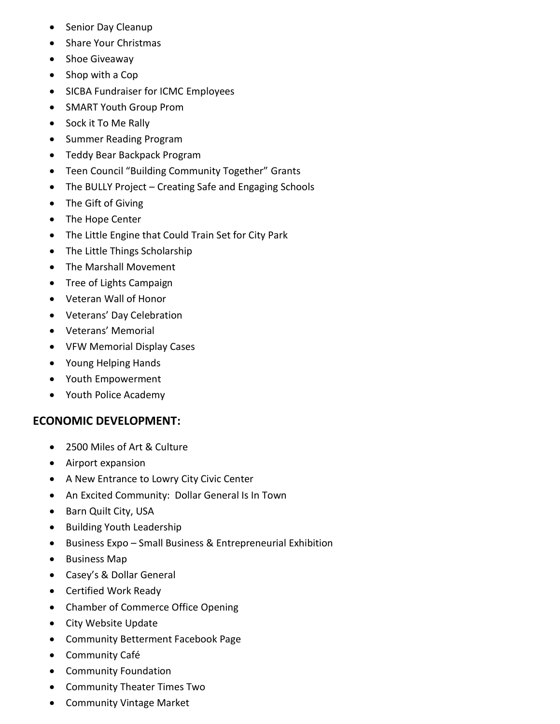- Senior Day Cleanup
- Share Your Christmas
- Shoe Giveaway
- Shop with a Cop
- SICBA Fundraiser for ICMC Employees
- SMART Youth Group Prom
- Sock it To Me Rally
- Summer Reading Program
- Teddy Bear Backpack Program
- Teen Council "Building Community Together" Grants
- The BULLY Project Creating Safe and Engaging Schools
- The Gift of Giving
- The Hope Center
- The Little Engine that Could Train Set for City Park
- The Little Things Scholarship
- The Marshall Movement
- Tree of Lights Campaign
- Veteran Wall of Honor
- Veterans' Day Celebration
- Veterans' Memorial
- VFW Memorial Display Cases
- Young Helping Hands
- Youth Empowerment
- Youth Police Academy

## **ECONOMIC DEVELOPMENT:**

- 2500 Miles of Art & Culture
- Airport expansion
- A New Entrance to Lowry City Civic Center
- An Excited Community: Dollar General Is In Town
- Barn Quilt City, USA
- Building Youth Leadership
- Business Expo Small Business & Entrepreneurial Exhibition
- Business Map
- Casey's & Dollar General
- Certified Work Ready
- Chamber of Commerce Office Opening
- City Website Update
- Community Betterment Facebook Page
- Community Café
- Community Foundation
- Community Theater Times Two
- Community Vintage Market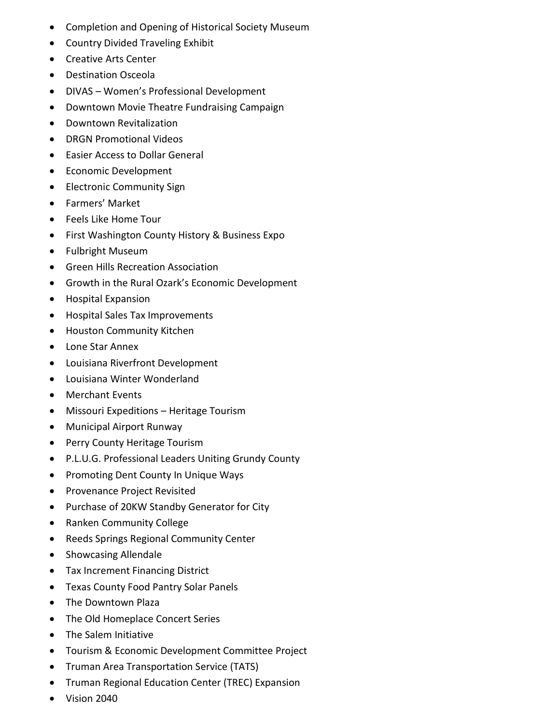- Completion and Opening of Historical Society Museum
- Country Divided Traveling Exhibit
- Creative Arts Center
- Destination Osceola
- DIVAS Women's Professional Development
- Downtown Movie Theatre Fundraising Campaign
- Downtown Revitalization
- DRGN Promotional Videos
- Easier Access to Dollar General
- Economic Development
- Electronic Community Sign
- Farmers' Market
- Feels Like Home Tour
- First Washington County History & Business Expo
- Fulbright Museum
- Green Hills Recreation Association
- Growth in the Rural Ozark's Economic Development
- Hospital Expansion
- Hospital Sales Tax Improvements
- Houston Community Kitchen
- Lone Star Annex
- Louisiana Riverfront Development
- Louisiana Winter Wonderland
- Merchant Events
- Missouri Expeditions Heritage Tourism
- Municipal Airport Runway
- Perry County Heritage Tourism
- P.L.U.G. Professional Leaders Uniting Grundy County
- Promoting Dent County In Unique Ways
- Provenance Project Revisited
- Purchase of 20KW Standby Generator for City
- Ranken Community College
- Reeds Springs Regional Community Center
- Showcasing Allendale
- Tax Increment Financing District
- Texas County Food Pantry Solar Panels
- The Downtown Plaza
- The Old Homeplace Concert Series
- The Salem Initiative
- Tourism & Economic Development Committee Project
- Truman Area Transportation Service (TATS)
- Truman Regional Education Center (TREC) Expansion
- Vision 2040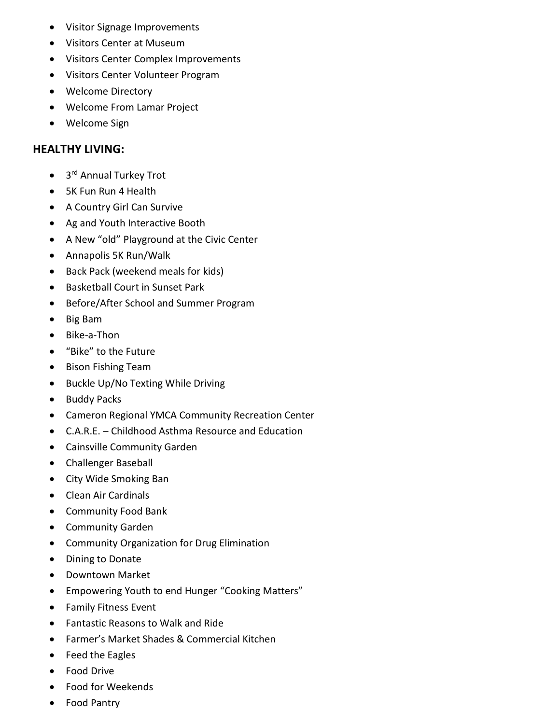- Visitor Signage Improvements
- Visitors Center at Museum
- Visitors Center Complex Improvements
- Visitors Center Volunteer Program
- Welcome Directory
- Welcome From Lamar Project
- Welcome Sign

#### **HEALTHY LIVING:**

- 3<sup>rd</sup> Annual Turkey Trot
- 5K Fun Run 4 Health
- A Country Girl Can Survive
- Ag and Youth Interactive Booth
- A New "old" Playground at the Civic Center
- Annapolis 5K Run/Walk
- Back Pack (weekend meals for kids)
- Basketball Court in Sunset Park
- Before/After School and Summer Program
- Big Bam
- Bike-a-Thon
- "Bike" to the Future
- Bison Fishing Team
- Buckle Up/No Texting While Driving
- Buddy Packs
- Cameron Regional YMCA Community Recreation Center
- C.A.R.E. Childhood Asthma Resource and Education
- Cainsville Community Garden
- Challenger Baseball
- City Wide Smoking Ban
- Clean Air Cardinals
- Community Food Bank
- Community Garden
- Community Organization for Drug Elimination
- Dining to Donate
- Downtown Market
- Empowering Youth to end Hunger "Cooking Matters"
- Family Fitness Event
- Fantastic Reasons to Walk and Ride
- Farmer's Market Shades & Commercial Kitchen
- Feed the Eagles
- Food Drive
- Food for Weekends
- Food Pantry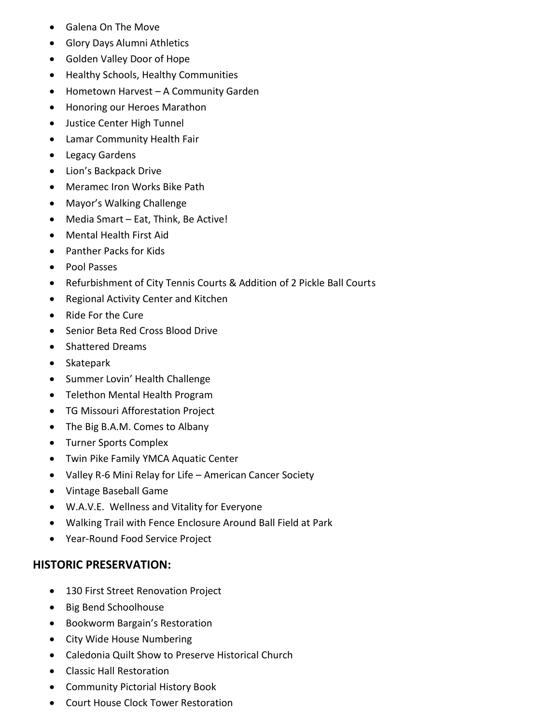- Galena On The Move
- Glory Days Alumni Athletics
- Golden Valley Door of Hope
- Healthy Schools, Healthy Communities
- Hometown Harvest A Community Garden
- Honoring our Heroes Marathon
- Justice Center High Tunnel
- Lamar Community Health Fair
- Legacy Gardens
- Lion's Backpack Drive
- Meramec Iron Works Bike Path
- Mayor's Walking Challenge
- Media Smart Eat, Think, Be Active!
- Mental Health First Aid
- Panther Packs for Kids
- Pool Passes
- Refurbishment of City Tennis Courts & Addition of 2 Pickle Ball Courts
- Regional Activity Center and Kitchen
- Ride For the Cure
- Senior Beta Red Cross Blood Drive
- Shattered Dreams
- Skatepark
- Summer Lovin' Health Challenge
- Telethon Mental Health Program
- TG Missouri Afforestation Project
- The Big B.A.M. Comes to Albany
- Turner Sports Complex
- Twin Pike Family YMCA Aquatic Center
- Valley R-6 Mini Relay for Life American Cancer Society
- Vintage Baseball Game
- W.A.V.E. Wellness and Vitality for Everyone
- Walking Trail with Fence Enclosure Around Ball Field at Park
- Year-Round Food Service Project

#### **HISTORIC PRESERVATION:**

- 130 First Street Renovation Project
- Big Bend Schoolhouse
- Bookworm Bargain's Restoration
- City Wide House Numbering
- Caledonia Quilt Show to Preserve Historical Church
- Classic Hall Restoration
- Community Pictorial History Book
- Court House Clock Tower Restoration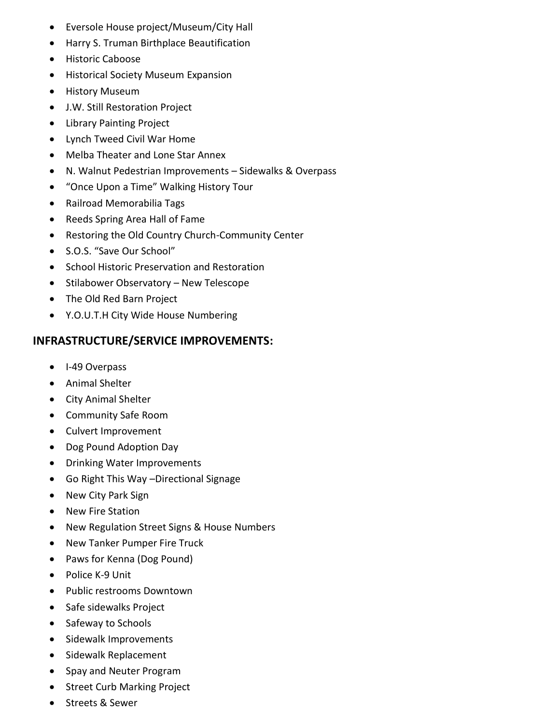- Eversole House project/Museum/City Hall
- Harry S. Truman Birthplace Beautification
- Historic Caboose
- Historical Society Museum Expansion
- History Museum
- J.W. Still Restoration Project
- Library Painting Project
- Lynch Tweed Civil War Home
- Melba Theater and Lone Star Annex
- N. Walnut Pedestrian Improvements Sidewalks & Overpass
- "Once Upon a Time" Walking History Tour
- Railroad Memorabilia Tags
- Reeds Spring Area Hall of Fame
- Restoring the Old Country Church-Community Center
- S.O.S. "Save Our School"
- School Historic Preservation and Restoration
- Stilabower Observatory New Telescope
- The Old Red Barn Project
- Y.O.U.T.H City Wide House Numbering

## **INFRASTRUCTURE/SERVICE IMPROVEMENTS:**

- I-49 Overpass
- Animal Shelter
- City Animal Shelter
- Community Safe Room
- Culvert Improvement
- Dog Pound Adoption Day
- Drinking Water Improvements
- Go Right This Way –Directional Signage
- New City Park Sign
- New Fire Station
- New Regulation Street Signs & House Numbers
- New Tanker Pumper Fire Truck
- Paws for Kenna (Dog Pound)
- Police K-9 Unit
- Public restrooms Downtown
- Safe sidewalks Project
- Safeway to Schools
- Sidewalk Improvements
- Sidewalk Replacement
- Spay and Neuter Program
- Street Curb Marking Project
- Streets & Sewer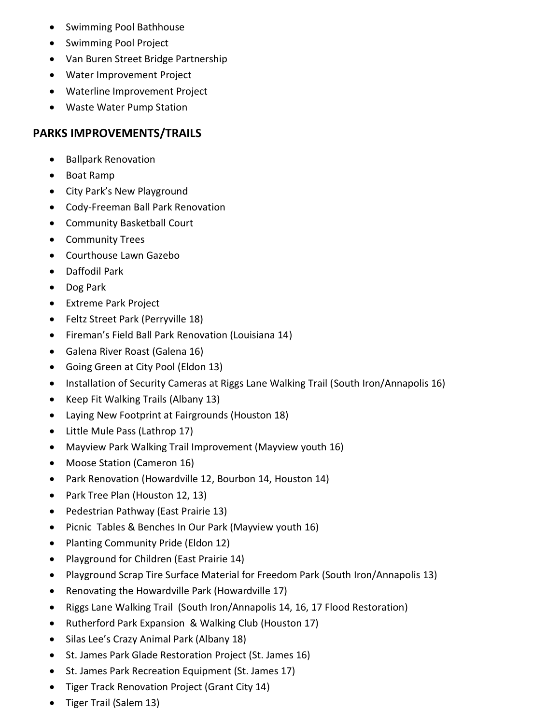- Swimming Pool Bathhouse
- Swimming Pool Project
- Van Buren Street Bridge Partnership
- Water Improvement Project
- Waterline Improvement Project
- Waste Water Pump Station

### **PARKS IMPROVEMENTS/TRAILS**

- Ballpark Renovation
- Boat Ramp
- City Park's New Playground
- Cody-Freeman Ball Park Renovation
- Community Basketball Court
- Community Trees
- Courthouse Lawn Gazebo
- Daffodil Park
- Dog Park
- Extreme Park Project
- Feltz Street Park (Perryville 18)
- Fireman's Field Ball Park Renovation (Louisiana 14)
- Galena River Roast (Galena 16)
- Going Green at City Pool (Eldon 13)
- Installation of Security Cameras at Riggs Lane Walking Trail (South Iron/Annapolis 16)
- Keep Fit Walking Trails (Albany 13)
- Laying New Footprint at Fairgrounds (Houston 18)
- Little Mule Pass (Lathrop 17)
- Mayview Park Walking Trail Improvement (Mayview youth 16)
- Moose Station (Cameron 16)
- Park Renovation (Howardville 12, Bourbon 14, Houston 14)
- Park Tree Plan (Houston 12, 13)
- Pedestrian Pathway (East Prairie 13)
- Picnic Tables & Benches In Our Park (Mayview youth 16)
- Planting Community Pride (Eldon 12)
- Playground for Children (East Prairie 14)
- Playground Scrap Tire Surface Material for Freedom Park (South Iron/Annapolis 13)
- Renovating the Howardville Park (Howardville 17)
- Riggs Lane Walking Trail (South Iron/Annapolis 14, 16, 17 Flood Restoration)
- Rutherford Park Expansion & Walking Club (Houston 17)
- Silas Lee's Crazy Animal Park (Albany 18)
- St. James Park Glade Restoration Project (St. James 16)
- St. James Park Recreation Equipment (St. James 17)
- Tiger Track Renovation Project (Grant City 14)
- Tiger Trail (Salem 13)